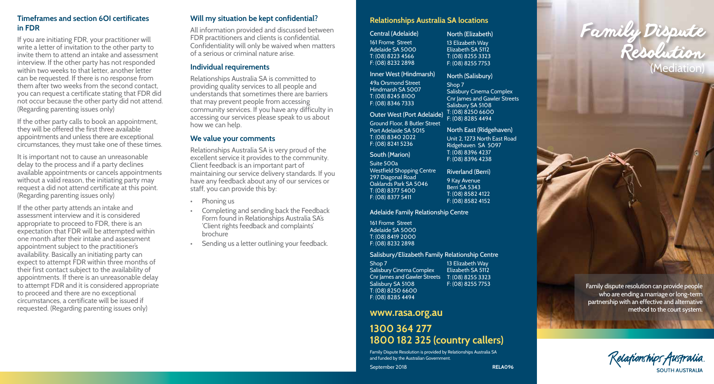#### **Timeframes and section 6OI certificates in FDR**

If you are initiating FDR, your practitioner will write a letter of invitation to the other party to invite them to attend an intake and assessment interview. If the other party has not responded within two weeks to that letter, another letter can be requested. If there is no response from them after two weeks from the second contact, you can request a certificate stating that FDR did not occur because the other party did not attend. (Regarding parenting issues only)

If the other party calls to book an appointment, they will be offered the first three available appointments and unless there are exceptional circumstances, they must take one of these times.

It is important not to cause an unreasonable delay to the process and if a party declines available appointments or cancels appointments without a valid reason, the initiating party may request a did not attend certificate at this point. (Regarding parenting issues only)

If the other party attends an intake and assessment interview and it is considered appropriate to proceed to FDR, there is an expectation that FDR will be attempted within one month after their intake and assessment appointment subject to the practitioner's availability. Basically an initiating party can expect to attempt FDR within three months of their first contact subject to the availability of appointments. If there is an unreasonable delay to attempt FDR and it is considered appropriate to proceed and there are no exceptional circumstances, a certificate will be issued if requested. (Regarding parenting issues only)

#### **Will my situation be kept confidential?**

All information provided and discussed between FDR practitioners and clients is confidential. Confidentiality will only be waived when matters of a serious or criminal nature arise.

#### **Individual requirements**

Relationships Australia SA is committed to providing quality services to all people and understands that sometimes there are barriers that may prevent people from accessing community services. If you have any difficulty in accessing our services please speak to us about how we can help.

#### **We value your comments**

Relationships Australia SA is very proud of the excellent service it provides to the community. Client feedback is an important part of maintaining our service delivery standards. If you have any feedback about any of our services or staff, you can provide this by:

- Phoning us
- Completing and sending back the Feedback Form found in Relationships Australia SA's 'Client rights feedback and complaints' brochure
- Sending us a letter outlining your feedback.

| <b>Relationships Australia SA locations</b> |  |  |  |
|---------------------------------------------|--|--|--|
|---------------------------------------------|--|--|--|

| Central (Adelaide)                | North (Elizabeth)                   |
|-----------------------------------|-------------------------------------|
| 161 Frome Street                  | 13 Elizabeth Way                    |
| Adelaide SA 5000                  | Elizabeth SA 5112                   |
| T: (08) 8223 4566                 | T: (08) 8255 3323                   |
| F: (08) 8232 2898                 | F: (08) 8255 7753                   |
| Inner West (Hindmarsh)            | North (Salisbury)                   |
| 49a Orsmond Street                | Shop 7                              |
| Hindmarsh SA 5007                 | <b>Salisbury Cinema Complex</b>     |
| T: (08) 8245 8100                 | <b>Cnr James and Gawler Street:</b> |
| F: (08) 8346 7333                 | Salisbury SA 5108                   |
| <b>Outer West (Port Adelaide)</b> | T: (08) 8250 6600                   |
| Ground Floor, 8 Butler Street     | F: (08) 8285 4494                   |
| Port Adelaide SA 5015             | North East (Ridgehaven)             |
| T: (08) 8340 2022                 | Unit 2, 1273 North East Road        |
| F: (08) 8241 5236                 | Ridgehaven SA 5097                  |
| South (Marion)                    | T: (08) 8396 4237                   |
| Suite 500a                        | F: (08) 8396 4238                   |
| Westfield Shopping Centre         | <b>Riverland (Berri)</b>            |
| 297 Diagonal Road                 | 9 Kay Avenue                        |
| Oaklands Park SA 5046             | Berri SA 5343                       |
| T: (08) 8377 5400                 | T: (08) 8582 4122                   |
| F: (08) 8377 5411                 | F: (08) 8582 4152                   |

a Complex **Ewler Streets** 

**RELA096**

Adelaide Family Relationship Centre

161 Frome Street Adelaide SA 5000 T: (08) 8419 2000 F: (08) 8232 2898

#### Salisbury/Elizabeth Family Relationship Centre

Shop 7 Salisbury Cinema Complex Cnr James and Gawler Streets T: (08) 8255 3323 Salisbury SA 5108 T: (08) 8250 6600 F: (08) 8285 4494 13 Elizabeth Way Elizabeth SA 5112 F: (08) 8255 7753

# **www.rasa.org.au**

September 2018

# **1300 364 277 1800 182 325 (country callers)**

Family Dispute Resolution is provided by Relationships Australia SA and funded by the Australian Government.



Family dispute resolution can provide people who are ending a marriage or long-term partnership with an effective and alternative method to the court system.

Kelafionships Australia SOUTH AUSTRALIA